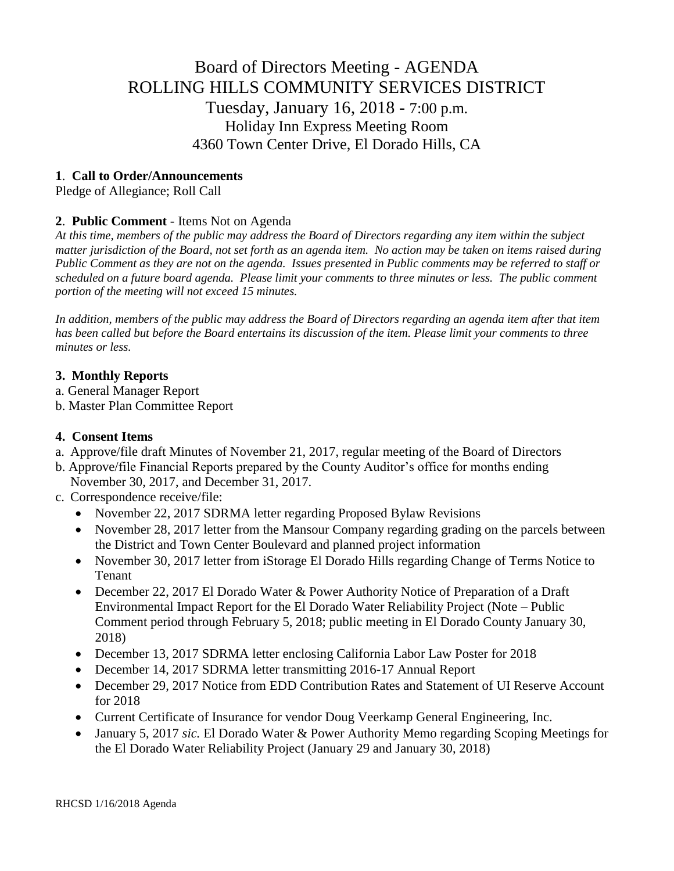# Board of Directors Meeting - AGENDA ROLLING HILLS COMMUNITY SERVICES DISTRICT Tuesday, January 16, 2018 - 7:00 p.m. Holiday Inn Express Meeting Room 4360 Town Center Drive, El Dorado Hills, CA

# **1**. **Call to Order/Announcements**

Pledge of Allegiance; Roll Call

# **2**. **Public Comment** - Items Not on Agenda

*At this time, members of the public may address the Board of Directors regarding any item within the subject matter jurisdiction of the Board, not set forth as an agenda item. No action may be taken on items raised during Public Comment as they are not on the agenda. Issues presented in Public comments may be referred to staff or scheduled on a future board agenda. Please limit your comments to three minutes or less. The public comment portion of the meeting will not exceed 15 minutes.*

*In addition, members of the public may address the Board of Directors regarding an agenda item after that item has been called but before the Board entertains its discussion of the item. Please limit your comments to three minutes or less.*

### **3. Monthly Reports**

- a. General Manager Report
- b. Master Plan Committee Report

### **4. Consent Items**

- a. Approve/file draft Minutes of November 21, 2017, regular meeting of the Board of Directors
- b. Approve/file Financial Reports prepared by the County Auditor's office for months ending November 30, 2017, and December 31, 2017.
- c. Correspondence receive/file:
	- November 22, 2017 SDRMA letter regarding Proposed Bylaw Revisions
	- November 28, 2017 letter from the Mansour Company regarding grading on the parcels between the District and Town Center Boulevard and planned project information
	- November 30, 2017 letter from iStorage El Dorado Hills regarding Change of Terms Notice to Tenant
	- December 22, 2017 El Dorado Water & Power Authority Notice of Preparation of a Draft Environmental Impact Report for the El Dorado Water Reliability Project (Note – Public Comment period through February 5, 2018; public meeting in El Dorado County January 30, 2018)
	- December 13, 2017 SDRMA letter enclosing California Labor Law Poster for 2018
	- December 14, 2017 SDRMA letter transmitting 2016-17 Annual Report
	- December 29, 2017 Notice from EDD Contribution Rates and Statement of UI Reserve Account for 2018
	- Current Certificate of Insurance for vendor Doug Veerkamp General Engineering, Inc.
	- January 5, 2017 *sic.* El Dorado Water & Power Authority Memo regarding Scoping Meetings for the El Dorado Water Reliability Project (January 29 and January 30, 2018)